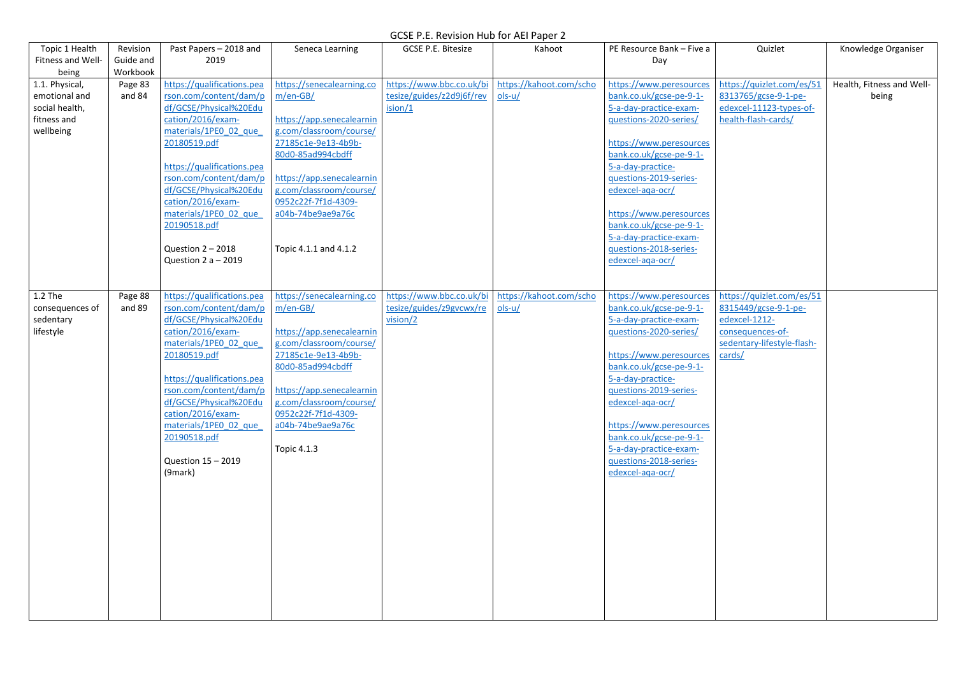| Topic 1 Health                                                                | Revision              | Past Papers - 2018 and                                                                                                                                                                                                                                                                                                                      | Seneca Learning                                                                                                                                                                                                                                                          | <b>GCSE P.E. Bitesize</b>                                        | Kahoot                              | PE Resource Bank - Five a                                                                                                                                                                                                                                                                                                                                     | Quizlet                                                                                                                        | Knowledge Organiser                |
|-------------------------------------------------------------------------------|-----------------------|---------------------------------------------------------------------------------------------------------------------------------------------------------------------------------------------------------------------------------------------------------------------------------------------------------------------------------------------|--------------------------------------------------------------------------------------------------------------------------------------------------------------------------------------------------------------------------------------------------------------------------|------------------------------------------------------------------|-------------------------------------|---------------------------------------------------------------------------------------------------------------------------------------------------------------------------------------------------------------------------------------------------------------------------------------------------------------------------------------------------------------|--------------------------------------------------------------------------------------------------------------------------------|------------------------------------|
| Fitness and Well-<br>being                                                    | Guide and<br>Workbook | 2019                                                                                                                                                                                                                                                                                                                                        |                                                                                                                                                                                                                                                                          |                                                                  |                                     | Day                                                                                                                                                                                                                                                                                                                                                           |                                                                                                                                |                                    |
| 1.1. Physical,<br>emotional and<br>social health,<br>fitness and<br>wellbeing | Page 83<br>and 84     | https://qualifications.pea<br>rson.com/content/dam/p<br>df/GCSE/Physical%20Edu<br>cation/2016/exam-<br>materials/1PE0 02 que<br>20180519.pdf<br>https://qualifications.pea<br>rson.com/content/dam/p<br>df/GCSE/Physical%20Edu<br>cation/2016/exam-<br>materials/1PE0 02 que<br>20190518.pdf<br>Question $2 - 2018$<br>Question $2a - 2019$ | https://senecalearning.co<br>$m/en-GB/$<br>https://app.senecalearnin<br>g.com/classroom/course/<br>27185c1e-9e13-4b9b-<br>80d0-85ad994cbdff<br>https://app.senecalearnin<br>g.com/classroom/course/<br>0952c22f-7f1d-4309-<br>a04b-74be9ae9a76c<br>Topic 4.1.1 and 4.1.2 | https://www.bbc.co.uk/bi<br>tesize/guides/z2d9j6f/rev<br>ision/1 | https://kahoot.com/scho<br>$ols-u/$ | https://www.peresources<br>bank.co.uk/gcse-pe-9-1-<br>5-a-day-practice-exam-<br>questions-2020-series/<br>https://www.peresources<br>bank.co.uk/gcse-pe-9-1-<br>5-a-day-practice-<br>guestions-2019-series-<br>edexcel-aga-ocr/<br>https://www.peresources<br>bank.co.uk/gcse-pe-9-1-<br>5-a-day-practice-exam-<br>questions-2018-series-<br>edexcel-aga-ocr/ | https://quizlet.com/es/51<br>8313765/gcse-9-1-pe-<br>edexcel-11123-types-of-<br>health-flash-cards/                            | Health, Fitness and Well-<br>being |
| 1.2 The<br>consequences of<br>sedentary<br>lifestyle                          | Page 88<br>and 89     | https://qualifications.pea<br>rson.com/content/dam/p<br>df/GCSE/Physical%20Edu<br>cation/2016/exam-<br>materials/1PE0 02 que<br>20180519.pdf<br>https://qualifications.pea<br>rson.com/content/dam/p<br>df/GCSE/Physical%20Edu<br>cation/2016/exam-<br>materials/1PE0 02 que<br>20190518.pdf<br>Question 15 - 2019<br>(9mark)               | https://senecalearning.co<br>$m/en-GB/$<br>https://app.senecalearnin<br>g.com/classroom/course/<br>27185c1e-9e13-4b9b-<br>80d0-85ad994cbdff<br>https://app.senecalearnin<br>g.com/classroom/course/<br>0952c22f-7f1d-4309-<br>a04b-74be9ae9a76c<br>Topic 4.1.3           | https://www.bbc.co.uk/bi<br>tesize/guides/z9gvcwx/re<br>vision/2 | https://kahoot.com/scho<br>$ols-u/$ | https://www.peresources<br>bank.co.uk/gcse-pe-9-1-<br>5-a-day-practice-exam-<br>questions-2020-series/<br>https://www.peresources<br>bank.co.uk/gcse-pe-9-1-<br>5-a-day-practice-<br>questions-2019-series-<br>edexcel-aga-ocr/<br>https://www.peresources<br>bank.co.uk/gcse-pe-9-1-<br>5-a-day-practice-exam-<br>questions-2018-series-<br>edexcel-aga-ocr/ | https://quizlet.com/es/51<br>8315449/gcse-9-1-pe-<br>edexcel-1212-<br>consequences-of-<br>sedentary-lifestyle-flash-<br>cards/ |                                    |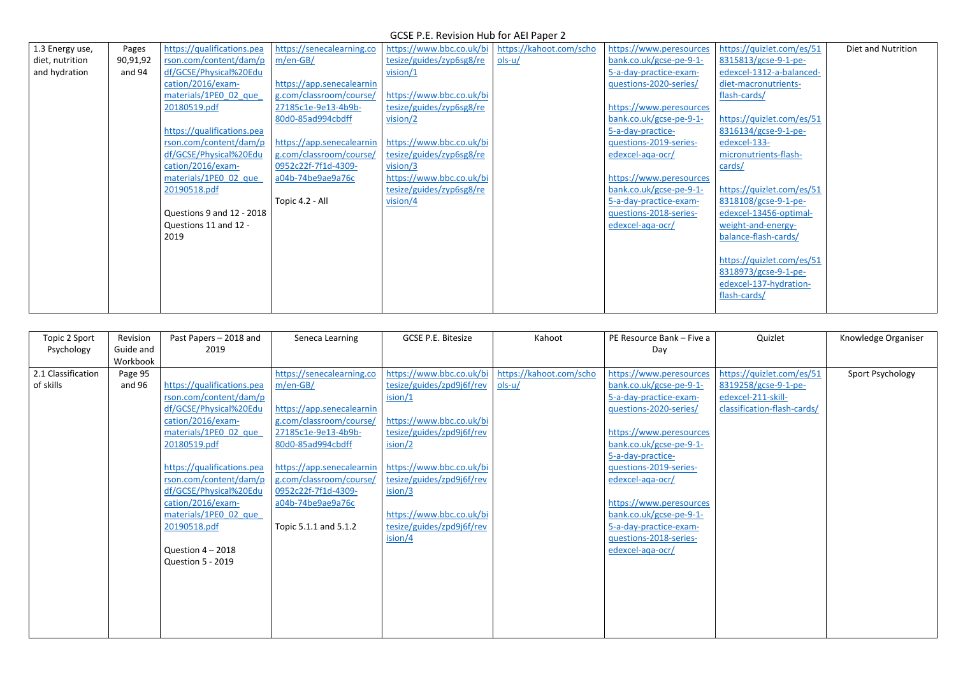| 1.3 Energy use, | Pages    | https://qualifications.pea | https://senecalearning.co | https://www.bbc.co.uk/bi | https://kahoot.com/scho | https://www.peresources | https://quizlet.com/es/51 | Diet and Nutrition |
|-----------------|----------|----------------------------|---------------------------|--------------------------|-------------------------|-------------------------|---------------------------|--------------------|
| diet, nutrition | 90,91,92 | rson.com/content/dam/p     | $m/en-GB/$                | tesize/guides/zyp6sg8/re | $ols-u/$                | bank.co.uk/gcse-pe-9-1- | 8315813/gcse-9-1-pe-      |                    |
| and hydration   | and 94   | df/GCSE/Physical%20Edu     |                           | vision/1                 |                         | 5-a-day-practice-exam-  | edexcel-1312-a-balanced-  |                    |
|                 |          | cation/2016/exam-          | https://app.senecalearnin |                          |                         | questions-2020-series/  | diet-macronutrients-      |                    |
|                 |          | materials/1PE0 02 que      | g.com/classroom/course/   | https://www.bbc.co.uk/bi |                         |                         | flash-cards/              |                    |
|                 |          | 20180519.pdf               | 27185c1e-9e13-4b9b-       | tesize/guides/zyp6sg8/re |                         | https://www.peresources |                           |                    |
|                 |          |                            | 80d0-85ad994cbdff         | vision/2                 |                         | bank.co.uk/gcse-pe-9-1- | https://quizlet.com/es/51 |                    |
|                 |          | https://qualifications.pea |                           |                          |                         | 5-a-day-practice-       | 8316134/gcse-9-1-pe-      |                    |
|                 |          | rson.com/content/dam/p     | https://app.senecalearnin | https://www.bbc.co.uk/bi |                         | questions-2019-series-  | edexcel-133-              |                    |
|                 |          | df/GCSE/Physical%20Edu     | g.com/classroom/course/   | tesize/guides/zyp6sg8/re |                         | edexcel-aga-ocr/        | micronutrients-flash-     |                    |
|                 |          | cation/2016/exam-          | 0952c22f-7f1d-4309-       | vision/3                 |                         |                         | cards/                    |                    |
|                 |          | materials/1PE0 02 que      | a04b-74be9ae9a76c         | https://www.bbc.co.uk/bi |                         | https://www.peresources |                           |                    |
|                 |          | 20190518.pdf               |                           | tesize/guides/zyp6sg8/re |                         | bank.co.uk/gcse-pe-9-1- | https://quizlet.com/es/51 |                    |
|                 |          |                            | Topic 4.2 - All           | vision/4                 |                         | 5-a-day-practice-exam-  | 8318108/gcse-9-1-pe-      |                    |
|                 |          | Questions 9 and 12 - 2018  |                           |                          |                         | questions-2018-series-  | edexcel-13456-optimal-    |                    |
|                 |          | Questions 11 and 12 -      |                           |                          |                         | edexcel-aga-ocr/        | weight-and-energy-        |                    |
|                 |          | 2019                       |                           |                          |                         |                         | balance-flash-cards/      |                    |
|                 |          |                            |                           |                          |                         |                         |                           |                    |
|                 |          |                            |                           |                          |                         |                         | https://quizlet.com/es/51 |                    |
|                 |          |                            |                           |                          |                         |                         | 8318973/gcse-9-1-pe-      |                    |
|                 |          |                            |                           |                          |                         |                         | edexcel-137-hydration-    |                    |
|                 |          |                            |                           |                          |                         |                         | flash-cards/              |                    |
|                 |          |                            |                           |                          |                         |                         |                           |                    |

| Topic 2 Sport      | Revision  | Past Papers - 2018 and     | Seneca Learning           | GCSE P.E. Bitesize        | Kahoot                  | PE Resource Bank - Five a | Quizlet                     | Knowledge Organiser |
|--------------------|-----------|----------------------------|---------------------------|---------------------------|-------------------------|---------------------------|-----------------------------|---------------------|
| Psychology         | Guide and | 2019                       |                           |                           |                         | Day                       |                             |                     |
|                    | Workbook  |                            |                           |                           |                         |                           |                             |                     |
| 2.1 Classification | Page 95   |                            | https://senecalearning.co | https://www.bbc.co.uk/bi  | https://kahoot.com/scho | https://www.peresources   | https://quizlet.com/es/51   | Sport Psychology    |
| of skills          | and 96    | https://qualifications.pea | $m/en-GB/$                | tesize/guides/zpd9j6f/rev | $ols-u/$                | bank.co.uk/gcse-pe-9-1-   | 8319258/gcse-9-1-pe-        |                     |
|                    |           | rson.com/content/dam/p     |                           | ision/1                   |                         | 5-a-day-practice-exam-    | edexcel-211-skill-          |                     |
|                    |           | df/GCSE/Physical%20Edu     | https://app.senecalearnin |                           |                         | questions-2020-series/    | classification-flash-cards/ |                     |
|                    |           | cation/2016/exam-          | g.com/classroom/course/   | https://www.bbc.co.uk/bi  |                         |                           |                             |                     |
|                    |           | materials/1PE0 02 que      | 27185c1e-9e13-4b9b-       | tesize/guides/zpd9j6f/rev |                         | https://www.peresources   |                             |                     |
|                    |           | 20180519.pdf               | 80d0-85ad994cbdff         | ision/2                   |                         | bank.co.uk/gcse-pe-9-1-   |                             |                     |
|                    |           |                            |                           |                           |                         | 5-a-day-practice-         |                             |                     |
|                    |           | https://qualifications.pea | https://app.senecalearnin | https://www.bbc.co.uk/bi  |                         | questions-2019-series-    |                             |                     |
|                    |           | rson.com/content/dam/p     | g.com/classroom/course/   | tesize/guides/zpd9j6f/rev |                         | edexcel-aga-ocr/          |                             |                     |
|                    |           | df/GCSE/Physical%20Edu     | 0952c22f-7f1d-4309-       | ision/3                   |                         |                           |                             |                     |
|                    |           | cation/2016/exam-          | a04b-74be9ae9a76c         |                           |                         | https://www.peresources   |                             |                     |
|                    |           | materials/1PE0 02 que      |                           | https://www.bbc.co.uk/bi  |                         | bank.co.uk/gcse-pe-9-1-   |                             |                     |
|                    |           | 20190518.pdf               | Topic 5.1.1 and 5.1.2     | tesize/guides/zpd9j6f/rev |                         | 5-a-day-practice-exam-    |                             |                     |
|                    |           |                            |                           | ision/4                   |                         | guestions-2018-series-    |                             |                     |
|                    |           | Question $4 - 2018$        |                           |                           |                         | edexcel-aga-ocr/          |                             |                     |
|                    |           | <b>Question 5 - 2019</b>   |                           |                           |                         |                           |                             |                     |
|                    |           |                            |                           |                           |                         |                           |                             |                     |
|                    |           |                            |                           |                           |                         |                           |                             |                     |
|                    |           |                            |                           |                           |                         |                           |                             |                     |
|                    |           |                            |                           |                           |                         |                           |                             |                     |
|                    |           |                            |                           |                           |                         |                           |                             |                     |
|                    |           |                            |                           |                           |                         |                           |                             |                     |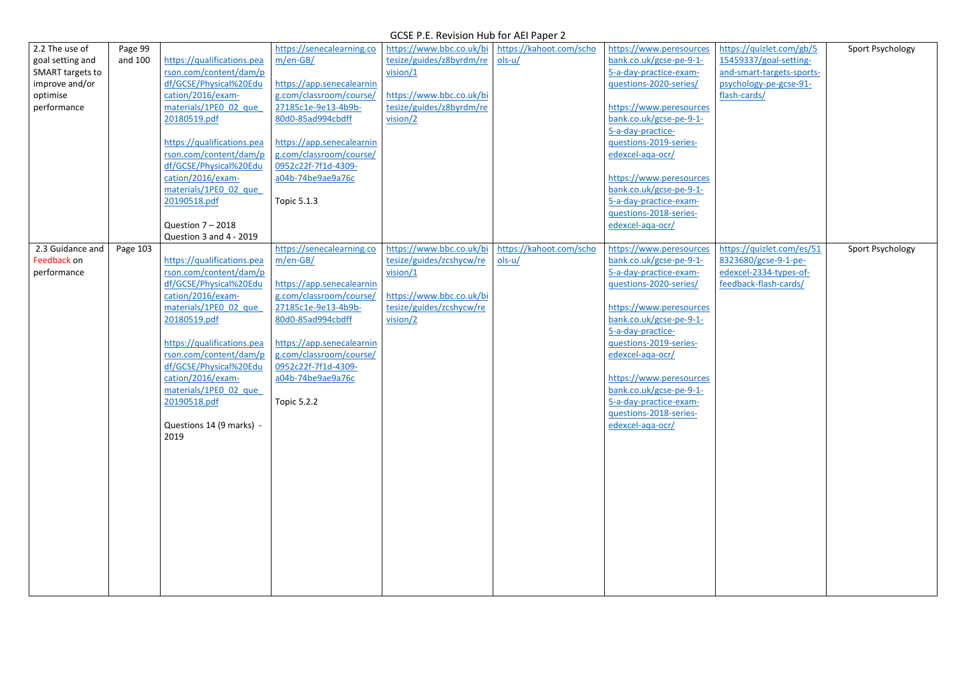| 2.2 The use of          | Page 99  |                            | https://senecalearning.co | https://www.bbc.co.uk/bi | https://kahoot.com/scho | https://www.peresources                     | https://quizlet.com/gb/5  | Sport Psychology |
|-------------------------|----------|----------------------------|---------------------------|--------------------------|-------------------------|---------------------------------------------|---------------------------|------------------|
| goal setting and        | and 100  | https://qualifications.pea | $m/en-GB/$                | tesize/guides/z8byrdm/re | $ols-u/$                | bank.co.uk/gcse-pe-9-1-                     | 15459337/goal-setting-    |                  |
| <b>SMART targets to</b> |          | rson.com/content/dam/p     |                           | vision/1                 |                         | 5-a-day-practice-exam-                      | and-smart-targets-sports- |                  |
| improve and/or          |          | df/GCSE/Physical%20Edu     | https://app.senecalearnin |                          |                         | questions-2020-series/                      | psychology-pe-gcse-91-    |                  |
| optimise                |          | cation/2016/exam-          | g.com/classroom/course/   | https://www.bbc.co.uk/bi |                         |                                             | flash-cards/              |                  |
| performance             |          | materials/1PE0 02 que      | 27185c1e-9e13-4b9b-       | tesize/guides/z8byrdm/re |                         | https://www.peresources                     |                           |                  |
|                         |          | 20180519.pdf               | 80d0-85ad994cbdff         | vision/2                 |                         | bank.co.uk/gcse-pe-9-1-                     |                           |                  |
|                         |          |                            |                           |                          |                         | 5-a-day-practice-                           |                           |                  |
|                         |          | https://qualifications.pea | https://app.senecalearnin |                          |                         | questions-2019-series-                      |                           |                  |
|                         |          | rson.com/content/dam/p     | g.com/classroom/course/   |                          |                         | edexcel-aga-ocr/                            |                           |                  |
|                         |          | df/GCSE/Physical%20Edu     | 0952c22f-7f1d-4309-       |                          |                         |                                             |                           |                  |
|                         |          | cation/2016/exam-          | a04b-74be9ae9a76c         |                          |                         | https://www.peresources                     |                           |                  |
|                         |          | materials/1PE0 02 que      |                           |                          |                         | bank.co.uk/gcse-pe-9-1-                     |                           |                  |
|                         |          | 20190518.pdf               | <b>Topic 5.1.3</b>        |                          |                         | 5-a-day-practice-exam-                      |                           |                  |
|                         |          |                            |                           |                          |                         | questions-2018-series-                      |                           |                  |
|                         |          | Question $7 - 2018$        |                           |                          |                         | edexcel-aga-ocr/                            |                           |                  |
|                         |          | Question 3 and 4 - 2019    |                           |                          |                         |                                             |                           |                  |
| 2.3 Guidance and        | Page 103 |                            | https://senecalearning.co | https://www.bbc.co.uk/bi | https://kahoot.com/scho | https://www.peresources                     | https://quizlet.com/es/51 | Sport Psychology |
| Feedback on             |          | https://qualifications.pea | $m/en-GB/$                | tesize/guides/zcshycw/re | $ols-u/$                | bank.co.uk/gcse-pe-9-1-                     | 8323680/gcse-9-1-pe-      |                  |
| performance             |          | rson.com/content/dam/p     |                           | vision/1                 |                         | 5-a-day-practice-exam-                      | edexcel-2334-types-of-    |                  |
|                         |          | df/GCSE/Physical%20Edu     | https://app.senecalearnin |                          |                         | questions-2020-series/                      | feedback-flash-cards/     |                  |
|                         |          | cation/2016/exam-          | g.com/classroom/course/   | https://www.bbc.co.uk/bi |                         |                                             |                           |                  |
|                         |          | materials/1PE0 02 que      | 27185c1e-9e13-4b9b-       | tesize/guides/zcshycw/re |                         | https://www.peresources                     |                           |                  |
|                         |          | 20180519.pdf               | 80d0-85ad994cbdff         | vision/2                 |                         | bank.co.uk/gcse-pe-9-1-                     |                           |                  |
|                         |          | https://qualifications.pea | https://app.senecalearnin |                          |                         | 5-a-day-practice-<br>questions-2019-series- |                           |                  |
|                         |          | rson.com/content/dam/p     | g.com/classroom/course/   |                          |                         | edexcel-aga-ocr/                            |                           |                  |
|                         |          | df/GCSE/Physical%20Edu     | 0952c22f-7f1d-4309-       |                          |                         |                                             |                           |                  |
|                         |          | cation/2016/exam-          | a04b-74be9ae9a76c         |                          |                         | https://www.peresources                     |                           |                  |
|                         |          | materials/1PE0 02 que      |                           |                          |                         | bank.co.uk/gcse-pe-9-1-                     |                           |                  |
|                         |          | 20190518.pdf               | Topic 5.2.2               |                          |                         | 5-a-day-practice-exam-                      |                           |                  |
|                         |          |                            |                           |                          |                         | questions-2018-series-                      |                           |                  |
|                         |          | Questions 14 (9 marks) -   |                           |                          |                         | edexcel-aga-ocr/                            |                           |                  |
|                         |          | 2019                       |                           |                          |                         |                                             |                           |                  |
|                         |          |                            |                           |                          |                         |                                             |                           |                  |
|                         |          |                            |                           |                          |                         |                                             |                           |                  |
|                         |          |                            |                           |                          |                         |                                             |                           |                  |
|                         |          |                            |                           |                          |                         |                                             |                           |                  |
|                         |          |                            |                           |                          |                         |                                             |                           |                  |
|                         |          |                            |                           |                          |                         |                                             |                           |                  |
|                         |          |                            |                           |                          |                         |                                             |                           |                  |
|                         |          |                            |                           |                          |                         |                                             |                           |                  |
|                         |          |                            |                           |                          |                         |                                             |                           |                  |
|                         |          |                            |                           |                          |                         |                                             |                           |                  |
|                         |          |                            |                           |                          |                         |                                             |                           |                  |
|                         |          |                            |                           |                          |                         |                                             |                           |                  |
|                         |          |                            |                           |                          |                         |                                             |                           |                  |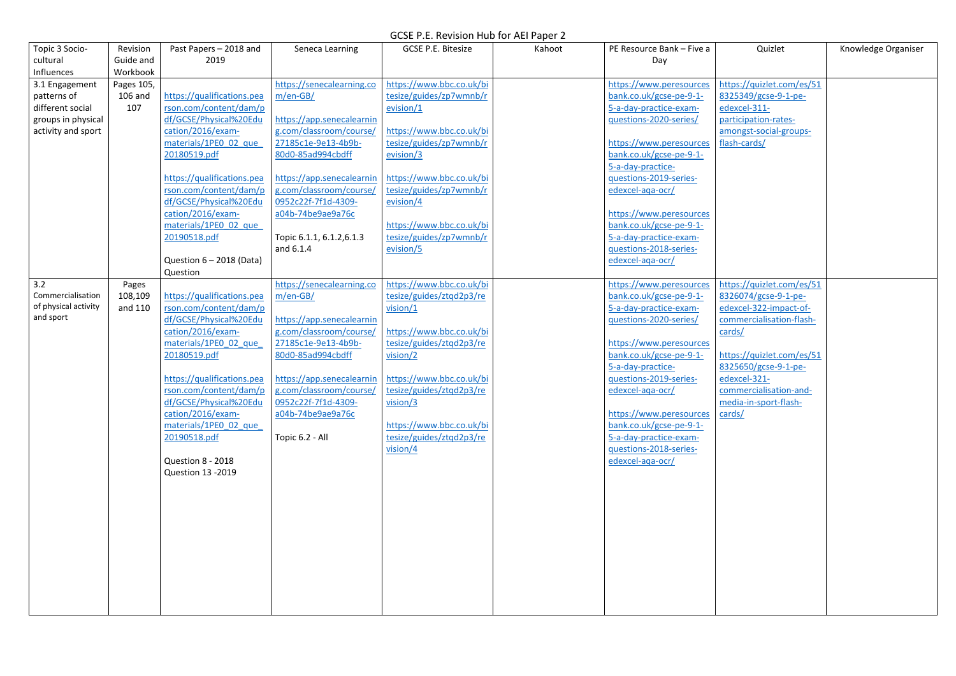| Topic 3 Socio-                    | Revision   | Past Papers - 2018 and                           | Seneca Learning                                | <b>GCSE P.E. Bitesize</b> | Kahoot | PE Resource Bank - Five a | Quizlet                         | Knowledge Organiser |
|-----------------------------------|------------|--------------------------------------------------|------------------------------------------------|---------------------------|--------|---------------------------|---------------------------------|---------------------|
| cultural                          | Guide and  | 2019                                             |                                                |                           |        | Day                       |                                 |                     |
| Influences                        | Workbook   |                                                  |                                                |                           |        |                           |                                 |                     |
| 3.1 Engagement                    | Pages 105, |                                                  | https://senecalearning.co                      | https://www.bbc.co.uk/bi  |        | https://www.peresources   | https://quizlet.com/es/51       |                     |
| patterns of                       | 106 and    | https://qualifications.pea                       | $m/en-GB/$                                     | tesize/guides/zp7wmnb/r   |        | bank.co.uk/gcse-pe-9-1-   | 8325349/gcse-9-1-pe-            |                     |
| different social                  | 107        | rson.com/content/dam/p                           |                                                | evision/1                 |        | 5-a-day-practice-exam-    | edexcel-311-                    |                     |
| groups in physical                |            | df/GCSE/Physical%20Edu                           | https://app.senecalearnin                      |                           |        | questions-2020-series/    | participation-rates-            |                     |
| activity and sport                |            | cation/2016/exam-                                | g.com/classroom/course/                        | https://www.bbc.co.uk/bi  |        |                           | amongst-social-groups-          |                     |
|                                   |            | materials/1PE0 02 que                            | 27185c1e-9e13-4b9b-                            | tesize/guides/zp7wmnb/r   |        | https://www.peresources   | flash-cards/                    |                     |
|                                   |            | 20180519.pdf                                     | 80d0-85ad994cbdff                              | evision/3                 |        | bank.co.uk/gcse-pe-9-1-   |                                 |                     |
|                                   |            |                                                  |                                                |                           |        | 5-a-day-practice-         |                                 |                     |
|                                   |            | https://qualifications.pea                       | https://app.senecalearnin                      | https://www.bbc.co.uk/bi  |        | questions-2019-series-    |                                 |                     |
|                                   |            | rson.com/content/dam/p                           | g.com/classroom/course/                        | tesize/guides/zp7wmnb/r   |        | edexcel-aga-ocr/          |                                 |                     |
|                                   |            | df/GCSE/Physical%20Edu                           | 0952c22f-7f1d-4309-                            | evision/4                 |        |                           |                                 |                     |
|                                   |            | cation/2016/exam-                                | a04b-74be9ae9a76c                              |                           |        | https://www.peresources   |                                 |                     |
|                                   |            | materials/1PE0 02 que                            |                                                | https://www.bbc.co.uk/bi  |        | bank.co.uk/gcse-pe-9-1-   |                                 |                     |
|                                   |            | 20190518.pdf                                     | Topic 6.1.1, 6.1.2, 6.1.3                      | tesize/guides/zp7wmnb/r   |        | 5-a-day-practice-exam-    |                                 |                     |
|                                   |            |                                                  | and 6.1.4                                      | evision/5                 |        | questions-2018-series-    |                                 |                     |
|                                   |            | Question $6 - 2018$ (Data)                       |                                                |                           |        | edexcel-aga-ocr/          |                                 |                     |
|                                   |            | Question                                         |                                                |                           |        |                           |                                 |                     |
| 3.2                               | Pages      |                                                  | https://senecalearning.co                      | https://www.bbc.co.uk/bi  |        | https://www.peresources   | https://quizlet.com/es/51       |                     |
| Commercialisation                 | 108,109    | https://qualifications.pea                       | $m/en-GB/$                                     | tesize/guides/ztqd2p3/re  |        | bank.co.uk/gcse-pe-9-1-   | 8326074/gcse-9-1-pe-            |                     |
| of physical activity<br>and sport | and 110    | rson.com/content/dam/p                           |                                                | vision/1                  |        | 5-a-day-practice-exam-    | edexcel-322-impact-of-          |                     |
|                                   |            | df/GCSE/Physical%20Edu                           | https://app.senecalearnin                      |                           |        | questions-2020-series/    | commercialisation-flash-        |                     |
|                                   |            | cation/2016/exam-                                | g.com/classroom/course/                        | https://www.bbc.co.uk/bi  |        |                           | cards/                          |                     |
|                                   |            | materials/1PE0 02 que                            | 27185c1e-9e13-4b9b-                            | tesize/guides/ztqd2p3/re  |        | https://www.peresources   |                                 |                     |
|                                   |            | 20180519.pdf                                     | 80d0-85ad994cbdff                              | vision/2                  |        | bank.co.uk/gcse-pe-9-1-   | https://quizlet.com/es/51       |                     |
|                                   |            |                                                  |                                                |                           |        | 5-a-day-practice-         | 8325650/gcse-9-1-pe-            |                     |
|                                   |            | https://qualifications.pea                       | https://app.senecalearnin                      | https://www.bbc.co.uk/bi  |        | questions-2019-series-    | edexcel-321-                    |                     |
|                                   |            | rson.com/content/dam/p<br>df/GCSE/Physical%20Edu | g.com/classroom/course/<br>0952c22f-7f1d-4309- | tesize/guides/ztqd2p3/re  |        | edexcel-aga-ocr/          | commercialisation-and-          |                     |
|                                   |            | cation/2016/exam-                                |                                                | vision/3                  |        | https://www.peresources   | media-in-sport-flash-<br>cards/ |                     |
|                                   |            | materials/1PE0 02 que                            | a04b-74be9ae9a76c                              | https://www.bbc.co.uk/bi  |        | bank.co.uk/gcse-pe-9-1-   |                                 |                     |
|                                   |            | 20190518.pdf                                     | Topic 6.2 - All                                | tesize/guides/ztqd2p3/re  |        | 5-a-day-practice-exam-    |                                 |                     |
|                                   |            |                                                  |                                                | vision/4                  |        | questions-2018-series-    |                                 |                     |
|                                   |            | Question 8 - 2018                                |                                                |                           |        | edexcel-aga-ocr/          |                                 |                     |
|                                   |            | <b>Question 13 -2019</b>                         |                                                |                           |        |                           |                                 |                     |
|                                   |            |                                                  |                                                |                           |        |                           |                                 |                     |
|                                   |            |                                                  |                                                |                           |        |                           |                                 |                     |
|                                   |            |                                                  |                                                |                           |        |                           |                                 |                     |
|                                   |            |                                                  |                                                |                           |        |                           |                                 |                     |
|                                   |            |                                                  |                                                |                           |        |                           |                                 |                     |
|                                   |            |                                                  |                                                |                           |        |                           |                                 |                     |
|                                   |            |                                                  |                                                |                           |        |                           |                                 |                     |
|                                   |            |                                                  |                                                |                           |        |                           |                                 |                     |
|                                   |            |                                                  |                                                |                           |        |                           |                                 |                     |
|                                   |            |                                                  |                                                |                           |        |                           |                                 |                     |
|                                   |            |                                                  |                                                |                           |        |                           |                                 |                     |
|                                   |            |                                                  |                                                |                           |        |                           |                                 |                     |